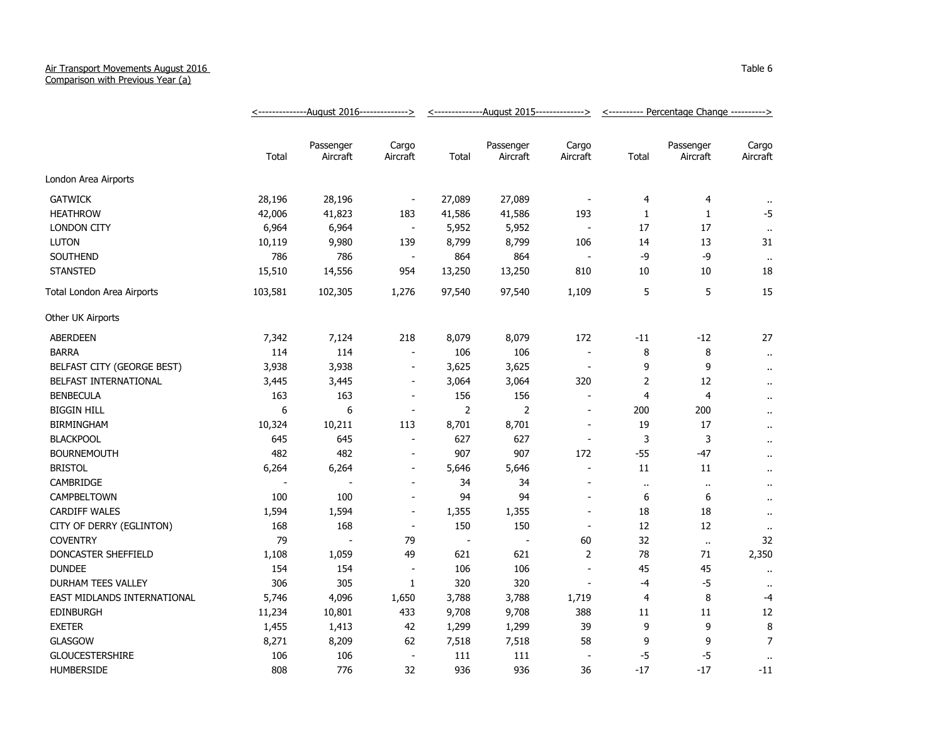## Air Transport Movements August 2016

Comparison with Previous Year (a)

|                             | <u>&lt;--------------August 2016--------------&gt;</u> |                       |                          | <u>&lt;--------------August 2015--------------&gt;</u> |                          |                          | <u>&lt;----------</u> Percentage Change ----------> |                       |                      |
|-----------------------------|--------------------------------------------------------|-----------------------|--------------------------|--------------------------------------------------------|--------------------------|--------------------------|-----------------------------------------------------|-----------------------|----------------------|
|                             | Total                                                  | Passenger<br>Aircraft | Cargo<br>Aircraft        | Total                                                  | Passenger<br>Aircraft    | Cargo<br>Aircraft        | Total                                               | Passenger<br>Aircraft | Cargo<br>Aircraft    |
| London Area Airports        |                                                        |                       |                          |                                                        |                          |                          |                                                     |                       |                      |
| <b>GATWICK</b>              | 28,196                                                 | 28,196                | $\overline{\phantom{a}}$ | 27,089                                                 | 27,089                   |                          | 4                                                   | 4                     | $\cdot\cdot$         |
| <b>HEATHROW</b>             | 42,006                                                 | 41,823                | 183                      | 41,586                                                 | 41,586                   | 193                      | 1                                                   | 1                     | $-5$                 |
| <b>LONDON CITY</b>          | 6,964                                                  | 6,964                 | $\blacksquare$           | 5,952                                                  | 5,952                    |                          | 17                                                  | 17                    | $\bullet$            |
| <b>LUTON</b>                | 10,119                                                 | 9,980                 | 139                      | 8,799                                                  | 8,799                    | 106                      | 14                                                  | 13                    | 31                   |
| SOUTHEND                    | 786                                                    | 786                   | $\sim$                   | 864                                                    | 864                      |                          | -9                                                  | -9                    | $\bullet$            |
| <b>STANSTED</b>             | 15,510                                                 | 14,556                | 954                      | 13,250                                                 | 13,250                   | 810                      | 10                                                  | 10                    | 18                   |
| Total London Area Airports  | 103,581                                                | 102,305               | 1,276                    | 97,540                                                 | 97,540                   | 1,109                    | 5                                                   | 5                     | 15                   |
| Other UK Airports           |                                                        |                       |                          |                                                        |                          |                          |                                                     |                       |                      |
| <b>ABERDEEN</b>             | 7,342                                                  | 7,124                 | 218                      | 8,079                                                  | 8,079                    | 172                      | $-11$                                               | $-12$                 | 27                   |
| <b>BARRA</b>                | 114                                                    | 114                   | $\overline{\phantom{a}}$ | 106                                                    | 106                      | $\sim$                   | 8                                                   | 8                     | $\bullet$ .          |
| BELFAST CITY (GEORGE BEST)  | 3,938                                                  | 3,938                 | $\blacksquare$           | 3,625                                                  | 3,625                    | $\blacksquare$           | 9                                                   | 9                     | $\cdot$ .            |
| BELFAST INTERNATIONAL       | 3,445                                                  | 3,445                 | $\overline{\phantom{a}}$ | 3,064                                                  | 3,064                    | 320                      | 2                                                   | 12                    | $\bullet$ .          |
| <b>BENBECULA</b>            | 163                                                    | 163                   | $\overline{\phantom{a}}$ | 156                                                    | 156                      |                          | 4                                                   | 4                     | $\bullet$ .          |
| <b>BIGGIN HILL</b>          | 6                                                      | 6                     | $\overline{\phantom{a}}$ | $\overline{2}$                                         | 2                        | $\overline{\phantom{a}}$ | 200                                                 | 200                   | $\cdot$ .            |
| <b>BIRMINGHAM</b>           | 10,324                                                 | 10,211                | 113                      | 8,701                                                  | 8,701                    | $\overline{\phantom{a}}$ | 19                                                  | 17                    | $\ddot{\phantom{1}}$ |
| <b>BLACKPOOL</b>            | 645                                                    | 645                   | $\blacksquare$           | 627                                                    | 627                      | $\overline{\phantom{a}}$ | 3                                                   | 3                     | $\ddot{\phantom{1}}$ |
| <b>BOURNEMOUTH</b>          | 482                                                    | 482                   | $\blacksquare$           | 907                                                    | 907                      | 172                      | $-55$                                               | $-47$                 | $\ddot{\phantom{1}}$ |
| <b>BRISTOL</b>              | 6,264                                                  | 6,264                 | $\blacksquare$           | 5,646                                                  | 5,646                    | $\blacksquare$           | 11                                                  | 11                    | $\ddot{\phantom{1}}$ |
| CAMBRIDGE                   |                                                        |                       | $\overline{a}$           | 34                                                     | 34                       |                          | $\ddot{\phantom{1}}$                                | $\bullet$ .           | $\ddot{\phantom{1}}$ |
| CAMPBELTOWN                 | 100                                                    | 100                   | $\blacksquare$           | 94                                                     | 94                       |                          | 6                                                   | 6                     | $\ddot{\phantom{a}}$ |
| <b>CARDIFF WALES</b>        | 1,594                                                  | 1,594                 | $\blacksquare$           | 1,355                                                  | 1,355                    | $\blacksquare$           | 18                                                  | 18                    | $\sim$               |
| CITY OF DERRY (EGLINTON)    | 168                                                    | 168                   | $\overline{\phantom{a}}$ | 150                                                    | 150                      | $\blacksquare$           | 12                                                  | 12                    | $\sim$               |
| <b>COVENTRY</b>             | 79                                                     | $\overline{a}$        | 79                       | $\overline{\phantom{a}}$                               | $\overline{\phantom{a}}$ | 60                       | 32                                                  | $\alpha$              | 32                   |
| DONCASTER SHEFFIELD         | 1,108                                                  | 1,059                 | 49                       | 621                                                    | 621                      | $\overline{2}$           | 78                                                  | 71                    | 2,350                |
| <b>DUNDEE</b>               | 154                                                    | 154                   | $\overline{\phantom{a}}$ | 106                                                    | 106                      | $\overline{\phantom{a}}$ | 45                                                  | 45                    | $\ddot{\phantom{1}}$ |
| DURHAM TEES VALLEY          | 306                                                    | 305                   | $\mathbf{1}$             | 320                                                    | 320                      |                          | $-4$                                                | $-5$                  | $\cdot$ .            |
| EAST MIDLANDS INTERNATIONAL | 5,746                                                  | 4,096                 | 1,650                    | 3,788                                                  | 3,788                    | 1,719                    | 4                                                   | 8                     | -4                   |
| <b>EDINBURGH</b>            | 11,234                                                 | 10,801                | 433                      | 9,708                                                  | 9,708                    | 388                      | 11                                                  | 11                    | 12                   |
| <b>EXETER</b>               | 1,455                                                  | 1,413                 | 42                       | 1,299                                                  | 1,299                    | 39                       | 9                                                   | 9                     | 8                    |
| <b>GLASGOW</b>              | 8,271                                                  | 8,209                 | 62                       | 7,518                                                  | 7,518                    | 58                       | 9                                                   | 9                     | $\overline{7}$       |
| <b>GLOUCESTERSHIRE</b>      | 106                                                    | 106                   | $\blacksquare$           | 111                                                    | 111                      | $\blacksquare$           | $-5$                                                | $-5$                  | $\bullet$ .          |
| <b>HUMBERSIDE</b>           | 808                                                    | 776                   | 32                       | 936                                                    | 936                      | 36                       | $-17$                                               | $-17$                 | $-11$                |